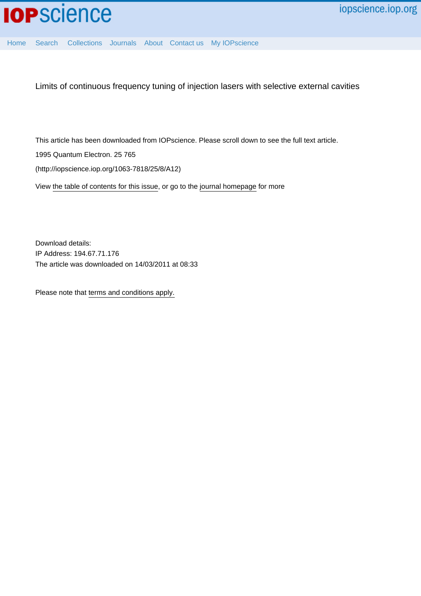

[Home](http://iopscience.iop.org/) [Search](http://iopscience.iop.org/search) [Collections](http://iopscience.iop.org/collections) [Journals](http://iopscience.iop.org/journals) [About](http://iopscience.iop.org/page/aboutioppublishing) [Contact us](http://iopscience.iop.org/contact) [My IOPscience](http://iopscience.iop.org/myiopscience)

Limits of continuous frequency tuning of injection lasers with selective external cavities

This article has been downloaded from IOPscience. Please scroll down to see the full text article.

1995 Quantum Electron. 25 765

(http://iopscience.iop.org/1063-7818/25/8/A12)

View [the table of contents for this issue](http://iopscience.iop.org/1063-7818/25/8), or go to the [journal homepage](http://iopscience.iop.org/1063-7818) for more

Download details: IP Address: 194.67.71.176 The article was downloaded on 14/03/2011 at 08:33

Please note that [terms and conditions apply.](http://iopscience.iop.org/page/terms)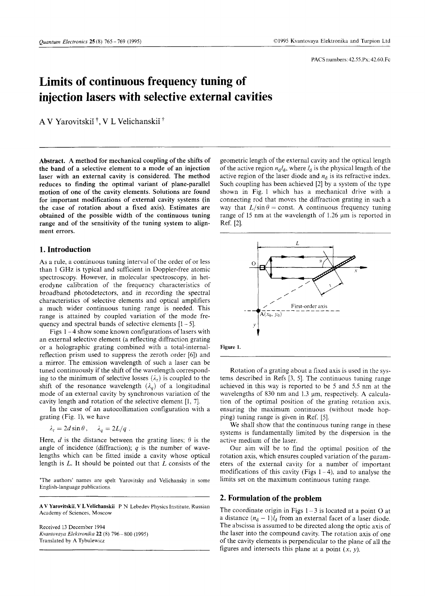# **Limits of continuous frequency tuning of injection lasers with selective external cavities**

A V Yarovitskiĭ<sup>†</sup>, V L Velichanskiĭ

**Abstract. A method for mechanical coupling of the shifts of the band of a selective element to a mode of an injection laser with an external cavity is considered. The method reduces to finding the optimal variant of plane-parallel motion of one of the cavity elements. Solutions are found for important modifications of external cavity systems (in the case of rotation about a fixed axis). Estimates are obtained of the possible width of the continuous tuning range and of the sensitivity of the tuning system to alignment errors.**

## **1. Introduction**

As a rule, a continuous tuning interval of the order of or less than 1 GHz is typical and sufficient in Doppler-free atomic spectroscopy. However, in molecular spectroscopy, in heterodyne calibration of the frequency characteristics of broadband photodetectors, and in recording the spectral characteristics of selective elements and optical amplifiers a much wider continuous tuning range is needed. This range is attained by coupled variation of the mode frequency and spectral bands of selective elements  $[1 - 5]$ .

Figs 1 - 4 show some known configurations of lasers with an external selective element (a reflecting diffraction grating or a holographic grating combined with a total-internalreflection prism used to suppress the zeroth order [6]) and a mirror. The emission wavelength of such a laser can be tuned continuously if the shift of the wavelength corresponding to the minimum of selective losses  $(\lambda_r)$  is coupled to the shift of the resonance wavelength  $(\lambda_q)$  of a longitudinal mode of an external cavity by synchronous variation of the cavity length and rotation of the selective element [1, 7],

In the case of an autocollimation configuration with a grating (Fig. 1), we have

$$
\lambda_{\rm r} = 2d \sin \theta \,, \quad \lambda_q = 2L/q \,.
$$

Here, *d* is the distance between the grating lines;  $\theta$  is the angle of incidence (diffraction); *q* is the number of wavelengths which can be fitted inside a cavity whose optical length is *L.* It should be pointed out that *L* consists of the

The authors' names are spelt Yarovitsky and Velichansky in some English-language publications.

**A V Yarovitskii, V L Velichanskii P** N Lebedev Physics Institute, Russian Academy of Sciences, Moscow

Received 13 December 1994 *Kvantovaya Elektronika* 22 (8) 796-800 (1995) Translated by A Tybulewicz

geometric length of the external cavity and the optical length of the active region  $n_d l_d$ , where  $l_d$  is the physical length of the active region of the laser diode and  $n_d$  is its refractive index. Such coupling has been achieved [2] by a system of the type shown in Fig. 1 which has a mechanical drive with a connecting rod that moves the diffraction grating in such a way that  $L/\sin \theta = \text{const.}$  A continuous frequency tuning range of 15 nm at the wavelength of 1.26 um is reported in Ref. [21.



**Figure** 1.

Rotation of a grating about a fixed axis is used in the systems described in Refs [3, 5]. The continuous tuning range achieved in this way is reported to be 5 and 5.5 nm at the wavelengths of 830 nm and 1.3 µm, respectively. A calculation of the optimal position of the grating rotation axis, ensuring the maximum continuous (without mode hopping) tuning range is given in Ref. [5].

We shall show that the continuous tuning range in these systems is fundamentally limited by the dispersion in the active medium of the laser.

Our aim will be to find the optimal position of the rotation axis, which ensures coupled variation of the parameters of the external cavity for a number of important modifications of this cavity (Figs  $1-4$ ), and to analyse the limits set on the maximum continuous tuning range.

## **2. Formulation of the problem**

The coordinate origin in Figs  $1 - 3$  is located at a point O at a distance  $(n_d - 1)l_d$  from an external facet of a laser diode. The abscissa is assumed to be directed along the optic axis of the laser into the compound cavity. The rotation axis of one of the cavity elements is perpendicular to the plane of all the figures and intersects this plane at a point  $(x, y)$ .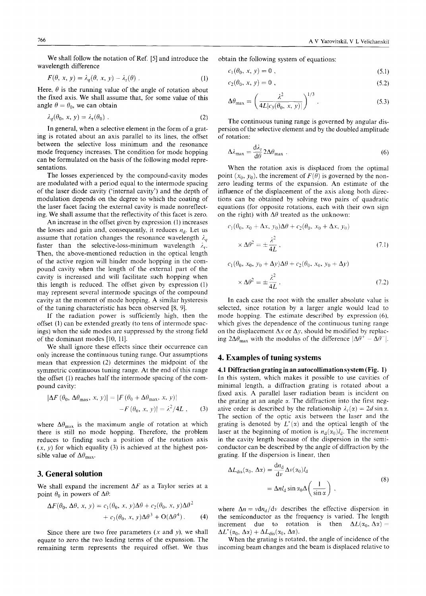We shall follow the notation of Ref. [5] and introduce the wavelength difference

$$
F(\theta, x, y) = \lambda_q(\theta, x, y) - \lambda_r(\theta) \tag{1}
$$

Here,  $\theta$  is the running value of the angle of rotation about the fixed axis. We shall assume that, for some value of this angle  $\theta = \theta_0$ , we can obtain

$$
\lambda_q(\theta_0, x, y) = \lambda_r(\theta_0) \tag{2}
$$

In general, when a selective element in the form of a grating is rotated about an axis parallel to its lines, the offset between the selective loss minimum and the resonance mode frequency increases. The condition for mode hopping can be formulated on the basis of the following model representations.

The losses experienced by the compound-cavity modes are modulated with a period equal to the intermode spacing of the laser diode cavity ('internal cavity') and the depth of modulation depends on the degree to which the coating of the laser facet facing the external cavity is made nonreflecting. We shall assume that the reflectivity of this facet is zero.

An increase in the offset given by expression (1) increases the losses and gain and, consequently, it reduces  $n_d$ . Let us assume that rotation changes the resonance wavelength  $\lambda_q$ faster than the selective-loss-minimum wavelength  $\lambda_r$ . Then, the above-mentioned reduction in the optical length of the active region will hinder mode hopping in the compound cavity when the length of the external part of the cavity is increased and will facilitate such hopping when this length is reduced. The offset given by expression (1) may represent several intermode spacings of the compound cavity at the moment of mode hopping. A similar hysteresis of the tuning characteristic has been observed [8, 9].

If the radiation power is sufficiently high, then the offset (1) can be extended greatly (to tens of intermode spacings) when the side modes are suppressed by the strong field of the dominant modes [10, 11].

We shall ignore these effects since their occurrence can only increase the continuous tuning range. Our assumptions mean that expression (2) determines the midpoint of the symmetric continuous tuning range. At the end of this range the offset (1) reaches half the intermode spacing of the compound cavity:

$$
|\Delta F(\theta_0, \Delta \theta_{\text{max}}, x, y)| = |F(\theta_0 + \Delta \theta_{\text{max}}, x, y)|
$$

$$
-F(\theta_0, x, y)| = \lambda^2/4L, \qquad (3)
$$

where  $\Delta\theta_{\text{max}}$  is the maximum angle of rotation at which there is still no mode hopping. Therefore, the problem reduces to finding such a position of the rotation axis  $(x, y)$  for which equality (3) is achieved at the highest possible value of  $\Delta\theta_{\text{max}}$ .

## 3. General solution

We shall expand the increment  $\Delta F$  as a Taylor series at a point  $\theta_0$  in powers of  $\Delta\theta$ :

$$
\Delta F(\theta_0, \Delta \theta, x, y) = c_1(\theta_0, x, y) \Delta \theta + c_2(\theta_0, x, y) \Delta \theta^2 + c_3(\theta_0, x, y) \Delta \theta^3 + O(\Delta \theta^4).
$$
 (4)

Since there are two free parameters *(x* and *y),* we shall equate to zero the two leading terms of the expansion. The remaining term represents the required offset. We thus obtain the following system of equations:

$$
c_1(\theta_0, x, y) = 0 \tag{5.1}
$$

$$
c_2(\theta_0, x, y) = 0 , \t\t(5.2)
$$

$$
\Delta \theta_{\text{max}} = \left( \frac{\lambda^2}{4L|c_3(\theta_0, x, y)|} \right)^{1/3} .
$$
 (5.3)

The continuous tuning range is governed by angular dispersion of the selective element and by the doubled amplitude of rotation:

$$
\Delta\lambda_{\text{max}} = \frac{d\lambda_r}{d\theta} 2\Delta\theta_{\text{max}} \tag{6}
$$

When the rotation axis is displaced from the optimal point  $(x_0, y_0)$ , the increment of  $F(\theta)$  is governed by the nonzero leading terms of the expansion. An estimate of the influence of the displacement of the axis along both directions can be obtained by solving two pairs of quadratic equations (for opposite rotations, each with their own sign on the right) with  $\Delta\theta$  treated as the unknown:

$$
c_1(\theta_0, x_0 + \Delta x, y_0) \Delta \theta + c_2(\theta_0, x_0 + \Delta x, y_0)
$$
  
 
$$
\times \Delta \theta^2 = \pm \frac{\lambda^2}{4L}, \qquad (7.1)
$$

$$
c_1(\theta_0, x_0, y_0 + \Delta y) \Delta \theta + c_2(\theta_0, x_0, y_0 + \Delta y)
$$
  
 
$$
\times \Delta \theta^2 = \pm \frac{\lambda^2}{4L}.
$$
 (7.2)

In each case the root with the smaller absolute value is selected, since rotation by a larger angle would lead to mode hopping. The estimate described by expression (6), which gives the dependence of the continuous tuning range on the displacement  $\Delta x$  or  $\Delta y$ , should be modified by replacing  $2\Delta\theta_{\text{max}}$  with the modulus of the difference  $|\Delta\theta^+ - \Delta\theta^-|$ .

### 4. Examples of tuning systems

**4.1 Diffraction grating in an autocollimation system (Fig. 1)** In this system, which makes it possible to use cavities of minimal length, a diffraction grating is rotated about a fixed axis. A parallel laser radiation beam is incident on the grating at an angle  $\alpha$ . The diffraction into the first negative order is described by the relationship  $\lambda_r(\alpha) = 2d \sin \alpha$ . The section of the optic axis between the laser and the grating is denoted by  $L^*(x)$  and the optical length of the laser at the beginning of motion is  $n_d(\alpha_0)l_d$ . The increment in the cavity length because of the dispersion in the semiconductor can be described by the angle of diffraction by the grating. If the dispersion is linear, then

$$
\Delta L_{dis}(\alpha_0, \Delta x) = \frac{d n_d}{d v} \Delta v(\alpha_0) l_d
$$
  
=  $\Delta n l_d \sin \alpha_0 \Delta \left(\frac{1}{\sin \alpha}\right)$ , (8)

where  $\Delta n = v \frac{dn_d}{dv}$  describes the effective dispersion in the semiconductor as the frequency is varied. The length increment due to rotation is then  $\Delta L(\alpha_0, \Delta \alpha) =$  $\Delta L^*(\alpha_0, \Delta \alpha) + \Delta L_{dis}(\alpha_0, \Delta \alpha).$ 

When the grating is rotated, the angle of incidence of the incoming beam changes and the beam is displaced relative to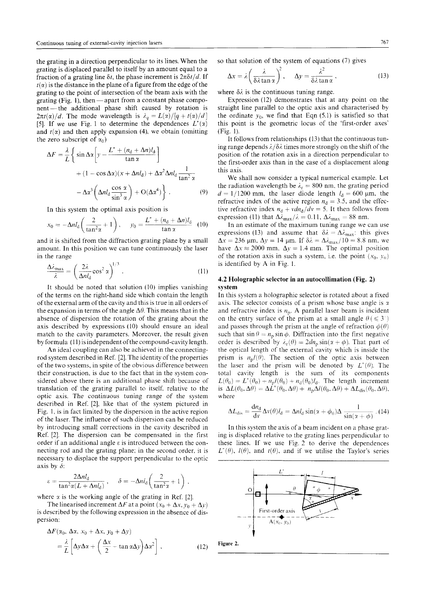the grating in a direction perpendicular to its lines. When the grating is displaced parallel to itself by an amount equal to a fraction of a grating line  $\delta t$ , the phase increment is  $2\pi\delta t/d$ . If  $t(\alpha)$  is the distance in the plane of a figure from the edge of the grating to the point of intersection of the beam axis with the grating (Fig. 1), then  $-$  apart from a constant phase component— the additional phase shift caused by rotation is  $2\pi t(\alpha)/d$ . The mode wavelength is  $\lambda_q = L(\alpha)/[q + t(\alpha)/d]$ [5]. If we use Fig. 1 to determine the dependences  $L^*(x)$ and  $t(x)$  and then apply expansion (4), we obtain (omitting the zero subscript of  $\alpha_0$ )

$$
\Delta F = \frac{\lambda}{L} \left\{ \sin \Delta \alpha \left[ y - \frac{L^* + (n_d + \Delta n)l_d}{\tan \alpha} \right] + (1 - \cos \Delta \alpha)(x + \Delta n l_d) + \Delta \alpha^2 \Delta n l_d \frac{1}{\tan^2 \alpha} - \Delta \alpha^3 \left( \Delta n l_d \frac{\cos \alpha}{\sin^3 \alpha} \right) + O(\Delta \alpha^4) \right\}.
$$
 (9)

In this system the optimal axis position is

$$
x_0 = -\Delta n l_{\rm d} \left( \frac{2}{\tan^2 \alpha} + 1 \right), \quad y_0 = \frac{L^* + (n_{\rm d} + \Delta n) l_{\rm d}}{\tan \alpha} \quad (10)
$$

and it is shifted from the diffraction grating plane by a small amount. In this position we can tune continuously the laser in the range

$$
\frac{\Delta\lambda_{\max}}{\lambda} = \left(\frac{2\lambda}{\Delta n l_d} \cos^2 \alpha\right)^{1/3}.
$$
 (11)

It should be noted that solution (10) implies vanishing of the terms on the right-hand side which contain the length of the external arm of the cavity and this is true in all orders of the expansion in terms of the angle  $\Delta\theta$ . This means that in the absence of dispersion the rotation of the grating about the axis described by expressions (10) should ensure an ideal match to the cavity parameters. Moreover, the result given by formula (11) is independent of the compound-cavity length.

An ideal coupling can also be achieved in the connectingrod system described in Ref. [2]. The identity of the properties of the two systems, in spite of the obvious difference between their construction, is due to the fact that in the system considered above there is an additional phase shift because of translation of the grating parallel to itself, relative to the optic axis. The continuous tuning range of the system described in Ref. [2], like that of the system pictured in Fig. 1, is in fact limited by the dispersion in the active region of the laser. The influence of such dispersion can be reduced by introducing small corrections in the cavity described in Ref. [2]. The dispersion can be compensated in the first order if an additional angle *s* is introduced between the connecting rod and the grating plane; in the second order, it is necessary to displace the support perpendicular to the optic axis by *S:*

$$
\varepsilon = \frac{2\Delta nl_{\rm d}}{\tan^2\alpha (L + \Delta nl_{\rm d})}, \quad \delta = -\Delta nl_{\rm d}\left(\frac{2}{\tan^2\alpha} + 1\right),
$$

where  $\alpha$  is the working angle of the grating in Ref. [2].

The linearised increment  $\Delta F$  at a point  $(x_0 + \Delta x, y_0 + \Delta y)$ is described by the following expression in the absence of dispersion:

$$
\Delta F(\alpha_0, \Delta \alpha, x_0 + \Delta x, y_0 + \Delta y)
$$
  
=  $\frac{\lambda}{L} \left[ \Delta y \Delta \alpha + \left( \frac{\Delta x}{2} - \tan \alpha \Delta y \right) \Delta \alpha^2 \right],$  (12)

so that solution of the system of equations (7) gives

$$
\Delta x = \lambda \left( \frac{\lambda}{\delta \lambda \tan \alpha} \right)^2, \quad \Delta y = \frac{\lambda^2}{\delta \lambda \tan \alpha}, \tag{13}
$$

where  $\delta \lambda$  is the continuous tuning range.

Expression (12) demonstrates that at any point on the straight line parallel to the optic axis and characterised by the ordinate  $y_0$ , we find that Eqn  $(5.1)$  is satisfied so that this point is the geometric locus of the 'first-order axes' (Fig. 1).

It follows from relationships (13) that the continuous tuning range depends  $\lambda/\delta\lambda$  times more strongly on the shift of the position of the rotation axis in a direction perpendicular to the first-order axis than in the case of a displacement along this axis.

We shall now consider a typical numerical example. Let the radiation wavelength be  $\lambda_r = 800$  nm, the grating period  $d = 1/1200$  mm, the laser diode length  $l_d = 600$  µm, the refractive index of the active region  $n_d = 3.5$ , and the effective refractive index  $n_d + vdn_d/dv = 5$ . It then follows from expression (11) that  $\Delta \bar{\lambda}_{\text{max}}/\lambda = 0.11$ ,  $\Delta \lambda_{\text{max}} = 88$  nm.

In an estimate of the maximum tuning range we can use expressions (13) and assume that  $\delta \lambda = \Delta \lambda_{\text{max}}$ : this gives  $\Delta x = 236$  µm,  $\Delta y = 14$  µm. If  $\delta \lambda = \Delta \lambda_{\text{max}} / 10 = 8.8$  nm, we have  $\Delta x \approx 2000$  mm,  $\Delta y = 1.4$  mm. The optimal position of the rotation axis in such a system, i.e. the point  $(x_0, y_0)$ is identified by A in Fig. 1.

#### **4.2 Holographic selector in an autocollimation (Fig. 2) system**

In this system a holographic selector is rotated about a fixed axis. The selector consists of a prism whose base angle is *y.* and refractive index is *np.* A parallel laser beam is incident on the entry surface of the prism at a small angle  $\theta \leq 3^{\circ}$ and passes through the prism at the angle of refraction  $\phi(0)$ such that  $\sin \theta = n_p \sin \phi$ . Diffraction into the first negative order is described by  $\lambda_r(\theta) = 2dn_p \sin(\alpha + \phi)$ . That part of the optical length of the external cavity which is inside the prism is  $n_p l(\theta)$ . The section of the optic axis between the laser and the prism will be denoted by  $L^*(\theta)$ . The total cavity length is the sum of its components  $L(\theta_0) = L^*(\theta_0) + n_p l(\theta_0) + n_d(\theta_0) l_d$ . The length increment is  $\Delta L(\theta_0, \Delta \theta) = \Delta L^*(\theta_0, \Delta \theta) + n_p \Delta l(\theta_0, \Delta \theta) + \Delta L_{dis}(\theta_0, \Delta \theta),$ where

$$
\Delta L_{\text{dis}} = \frac{\mathrm{d} n_{\text{d}}}{\mathrm{d} v} \Delta v(\theta) l_{\text{d}} = \Delta n l_{\text{d}} \sin(x + \phi_0) \Delta \frac{1}{\sin(x + \phi)} \, . \, (14)
$$

In this system the axis of a beam incident on a phase grating is displaced relative to the grating lines perpendicular to these lines. If we use Fig. 2 to derive the dependences  $L^*(\theta)$ ,  $I(\theta)$ , and  $t(\theta)$ , and if we utilise the Taylor's series

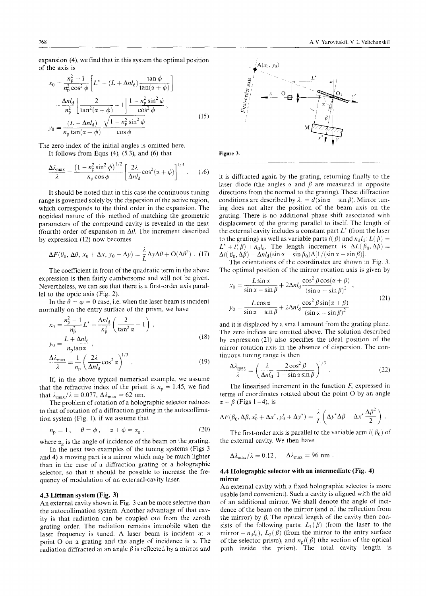expansion (4), we find that in this system the optimal position of the axis is

$$
x_0 = \frac{n_p^2 - 1}{n_p^2 \cos^2 \phi} \left[ L^* - (L + \Delta n l_d) \frac{\tan \phi}{\tan(\alpha + \phi)} \right]
$$
  

$$
- \frac{\Delta n l_d}{n_p^2} \left[ \frac{2}{\tan^2(\alpha + \phi)} + 1 \right] \frac{1 - n_p^2 \sin^2 \phi}{\cos^2 \phi},
$$
  

$$
y_0 = \frac{(L + \Delta n l_d)}{n_p \tan(\alpha + \phi)} \frac{\sqrt{1 - n_p^2 \sin^2 \phi}}{\cos \phi}.
$$
 (15)

The zero index of the initial angles is omitted here.

It follows from Eqns  $(4)$ ,  $(5.3)$ , and  $(6)$  that

$$
\frac{\Delta\lambda_{\text{max}}}{\lambda} = \frac{\left(1 - n_{\text{p}}^2 \sin^2 \phi\right)^{1/2}}{n_{\text{p}} \cos \phi} \left[\frac{2\lambda}{\Delta n l_{\text{d}}} \cos^2(\alpha + \phi)\right]^{1/3}.\tag{16}
$$

It should be noted that in this case the continuous tuning range is governed solely by the dispersion of the active region, which corresponds to the third order in the expansion. The nonideal nature of this method of matching the geometric parameters of the compound cavity is revealed in the next (fourth) order of expansion in  $\Delta\theta$ . The increment described by expression (12) now becomes

$$
\Delta F(\theta_0, \Delta \theta, x_0 + \Delta x, y_0 + \Delta y) = \frac{\lambda}{L} \Delta y \Delta \theta + O(\Delta \theta^2)
$$
 (17)

The coefficient in front of the quadratic term in the above expression is then fairly cumbersome and will not be given. Nevertheless, we can see that there is a first-order axis parallel to the optic axis (Fig. 2).

In the  $\theta = \phi = 0$  case, i.e. when the laser beam is incident normally on the entry surface of the prism, we have

$$
x_0 = \frac{n_{\rm p}^2 - 1}{n_{\rm p}^2} L^* - \frac{\Delta n l_{\rm d}}{n_{\rm p}^2} \left( \frac{2}{\tan^2 \alpha} + 1 \right),
$$
  
\n
$$
y_0 = \frac{L + \Delta n l_{\rm d}}{n_{\rm r} \tan \alpha},
$$
\n(18)

$$
\frac{\Delta\lambda_{\text{max}}}{\lambda} = \frac{1}{n_{\text{p}}} \left( \frac{2\lambda}{\Delta n l_{\text{d}}} \cos^2 \alpha \right)^{1/3} . \tag{19}
$$

If, in the above typical numerical example, we assume that the refractive index of the prism is  $n_p = 1.45$ , we find that  $\lambda_{\text{max}}/\lambda = 0.077$ ,  $\Delta \lambda_{\text{max}} = 62$  nm.

The problem of rotation of a holographic selector reduces to that of rotation of a diffraction grating in the autocollimation system (Fig. 1), if we assume that

$$
n_{\rm p} = 1 \,, \quad \theta = \phi \,, \quad \alpha + \phi = \alpha_{\rm g} \,. \tag{20}
$$

where  $\alpha_g$  is the angle of incidence of the beam on the grating.

In the next two examples of the tuning systems (Figs 3 and 4) a moving part is a mirror which may be much lighter than in the case of a diffraction grating or a holographic selector, so that it should be possible to increase the frequency of modulation of an external-cavity laser.

#### **4.3 Littman system (Fig.** 3)

An external cavity shown in Fig. 3 can be more selective than the autocollimation system. Another advantage of that cavity is that radiation can be coupled out from the zeroth grating order. The radiation remains immobile when the laser frequency is tuned. A laser beam is incident at a point O on a grating and the angle of incidence is *i.* The radiation diffracted at an angle  $\beta$  is reflected by a mirror and



it is diffracted again by the grating, returning finally to the laser diode (the angles  $\alpha$  and  $\beta$  are measured in opposite directions from the normal to the grating). These diffraction conditions are described by  $\lambda_r = d(\sin \alpha - \sin \beta)$ . Mirror tuning does not alter the position of the beam axis on the grating. There is no additional phase shift associated with displacement of the grating parallel to itself. The length of the external cavity includes a constant part *L\** (from the laser to the grating) as well as variable parts  $l(\beta)$  and  $n_d l_d$ :  $L(\beta)$  =  $L^*$  +  $I(\beta)$  +  $n_d l_d$ . The length increment is  $\Delta L(\beta_0, \Delta \beta)$  =  $\Delta l(\beta_0, \Delta \beta) + \Delta n l_d(\sin\alpha - \sin\beta_0)\Delta[1/(\sin\alpha - \sin\beta)].$ 

The orientations of the coordinates are shown in Fig. 3. The optimal position of the mirror rotation axis is given by

$$
x_0 = \frac{L \sin \alpha}{\sin \alpha - \sin \beta} + 2\Delta n l_d \frac{\cos^2 \beta \cos(\alpha + \beta)}{(\sin \alpha - \sin \beta)^2},
$$
  

$$
y_0 = \frac{L \cos \alpha}{\sin \alpha - \sin \beta} + 2\Delta n l_d \frac{\cos^2 \beta \sin(\alpha + \beta)}{(\sin \alpha - \sin \beta)^2}
$$
(21)

and it is displaced by a small amount from the grating plane. The zero indices are omitted above. The solution described by expression (21) also specifies the ideal position of the mirror rotation axis in the absence of dispersion. The continuous tuning range is then

$$
\frac{\Delta\lambda_{\max}}{\lambda} = \left(\frac{\lambda}{\Delta n l_d} \frac{2\cos^2\beta}{1-\sin\alpha\sin\beta}\right)^{1/3}.
$$
 (22)

The linearised increment in the function *F,* expressed in terms of coordinates rotated about the point O by an angle  $\alpha + \beta$  (Figs 1-4), is

$$
\Delta F(\beta_0, \Delta \beta, x_0^* + \Delta x^*, y_0^* + \Delta y^*) = \frac{\lambda}{L} \left( \Delta y^* \Delta \beta - \Delta x^* \frac{\Delta \beta^2}{2} \right).
$$

The first-order axis is parallel to the variable arm  $l(\beta_0)$  of the external cavity. We then have

$$
\Delta\lambda_{\text{max}}/\lambda = 0.12 \,, \quad \Delta\lambda_{\text{max}} = 96 \text{ nm} \,.
$$

#### **4.4 Holographic selector with an intermediate (Fig. 4) mirror**

An external cavity with a fixed holographic selector is more usable (and convenient). Such a cavity is aligned with the aid of an additional mirror. We shall denote the angle of incidence of the beam on the mirror (and of the reflection from the mirror) by  $\beta$ . The optical length of the cavity then consists of the following parts:  $L_1(\beta)$  (from the laser to the mirror +  $n_dI_d$ ),  $L_2(\beta)$  (from the mirror to the entry surface of the selector prism), and  $n_p l(\beta)$  (the section of the optical path inside the prism). The total cavity length is